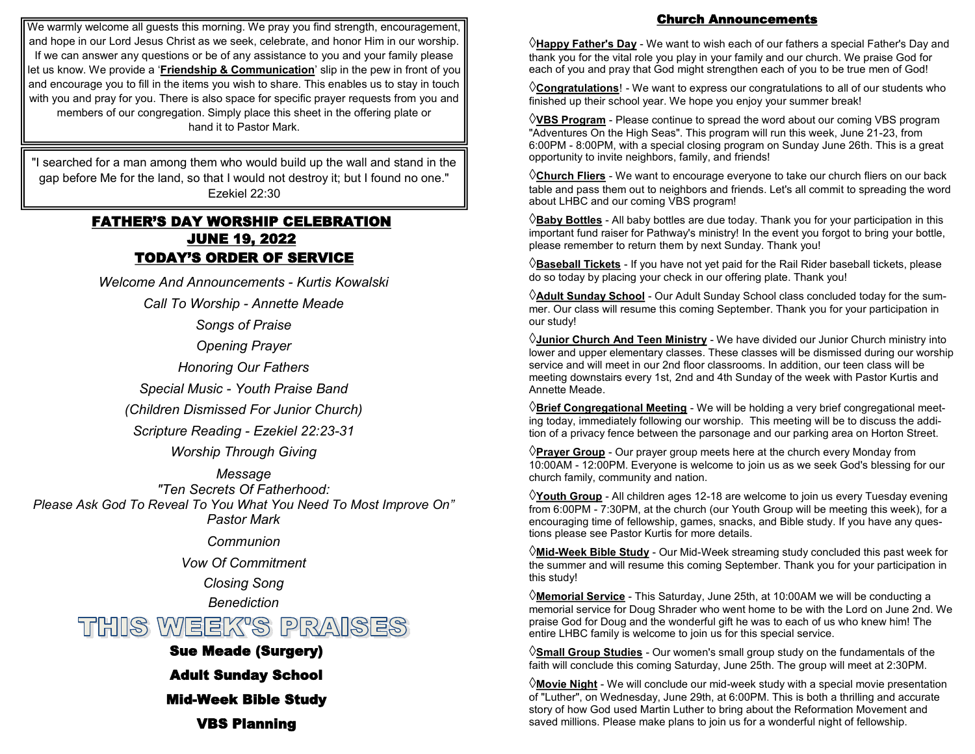We warmly welcome all guests this morning. We pray you find strength, encouragement, and hope in our Lord Jesus Christ as we seek, celebrate, and honor Him in our worship. If we can answer any questions or be of any assistance to you and your family please let us know. We provide a '**Friendship & Communication**' slip in the pew in front of you and encourage you to fill in the items you wish to share. This enables us to stay in touch with you and pray for you. There is also space for specific prayer requests from you and members of our congregation. Simply place this sheet in the offering plate or hand it to Pastor Mark.

"I searched for a man among them who would build up the wall and stand in the gap before Me for the land, so that I would not destroy it; but I found no one." Ezekiel 22:30

# FATHER'S DAY WORSHIP CELEBRATION JUNE 19, 2022 TODAY'S ORDER OF SERVICE

*Welcome And Announcements - Kurtis Kowalski*

*Call To Worship - Annette Meade*

*Songs of Praise*

*Opening Prayer*

*Honoring Our Fathers*

*Special Music - Youth Praise Band* 

*(Children Dismissed For Junior Church)*

*Scripture Reading - Ezekiel 22:23-31*

*Worship Through Giving*

*Message "Ten Secrets Of Fatherhood: Please Ask God To Reveal To You What You Need To Most Improve On" Pastor Mark* 

*Communion*

*Vow Of Commitment*

*Closing Song*

*Benediction*

THIS WEEK'S PRAISES

Sue Meade (Surgery)

Adult Sunday School

Mid-Week Bible Study

VBS Planning

# Church Announcements

**Happy Father's Day** - We want to wish each of our fathers a special Father's Day and thank you for the vital role you play in your family and our church. We praise God for each of you and pray that God might strengthen each of you to be true men of God!

**Congratulations**! - We want to express our congratulations to all of our students who finished up their school year. We hope you enjoy your summer break!

**VBS Program** - Please continue to spread the word about our coming VBS program "Adventures On the High Seas". This program will run this week, June 21-23, from 6:00PM - 8:00PM, with a special closing program on Sunday June 26th. This is a great opportunity to invite neighbors, family, and friends!

**Church Fliers** - We want to encourage everyone to take our church fliers on our back table and pass them out to neighbors and friends. Let's all commit to spreading the word about LHBC and our coming VBS program!

**Baby Bottles** - All baby bottles are due today. Thank you for your participation in this important fund raiser for Pathway's ministry! In the event you forgot to bring your bottle, please remember to return them by next Sunday. Thank you!

**Baseball Tickets** - If you have not yet paid for the Rail Rider baseball tickets, please do so today by placing your check in our offering plate. Thank you!

**Adult Sunday School** - Our Adult Sunday School class concluded today for the summer. Our class will resume this coming September. Thank you for your participation in our study!

**Junior Church And Teen Ministry** - We have divided our Junior Church ministry into lower and upper elementary classes. These classes will be dismissed during our worship service and will meet in our 2nd floor classrooms. In addition, our teen class will be meeting downstairs every 1st, 2nd and 4th Sunday of the week with Pastor Kurtis and Annette Meade.

**Brief Congregational Meeting** - We will be holding a very brief congregational meeting today, immediately following our worship. This meeting will be to discuss the addition of a privacy fence between the parsonage and our parking area on Horton Street.

**Prayer Group** - Our prayer group meets here at the church every Monday from 10:00AM - 12:00PM. Everyone is welcome to join us as we seek God's blessing for our church family, community and nation.

**Youth Group** - All children ages 12-18 are welcome to join us every Tuesday evening from 6:00PM - 7:30PM, at the church (our Youth Group will be meeting this week), for a encouraging time of fellowship, games, snacks, and Bible study. If you have any questions please see Pastor Kurtis for more details.

**Mid-Week Bible Study** - Our Mid-Week streaming study concluded this past week for the summer and will resume this coming September. Thank you for your participation in this study!

**Memorial Service** - This Saturday, June 25th, at 10:00AM we will be conducting a memorial service for Doug Shrader who went home to be with the Lord on June 2nd. We praise God for Doug and the wonderful gift he was to each of us who knew him! The entire LHBC family is welcome to join us for this special service.

**Small Group Studies** - Our women's small group study on the fundamentals of the faith will conclude this coming Saturday, June 25th. The group will meet at 2:30PM.

**Movie Night** - We will conclude our mid-week study with a special movie presentation of "Luther", on Wednesday, June 29th, at 6:00PM. This is both a thrilling and accurate story of how God used Martin Luther to bring about the Reformation Movement and saved millions. Please make plans to join us for a wonderful night of fellowship.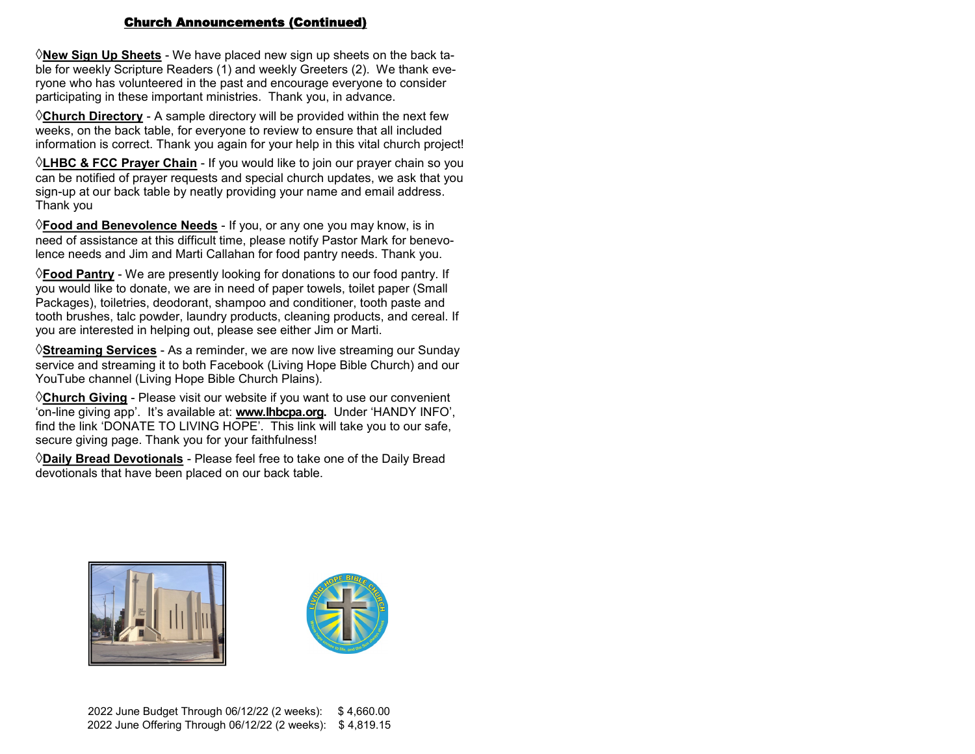### Church Announcements (Continued)

**New Sign Up Sheets** - We have placed new sign up sheets on the back table for weekly Scripture Readers (1) and weekly Greeters (2). We thank everyone who has volunteered in the past and encourage everyone to consider participating in these important ministries. Thank you, in advance.

**Church Directory** - A sample directory will be provided within the next few weeks, on the back table, for everyone to review to ensure that all included information is correct. Thank you again for your help in this vital church project!

**LHBC & FCC Prayer Chain** - If you would like to join our prayer chain so you can be notified of prayer requests and special church updates, we ask that you sign-up at our back table by neatly providing your name and email address. Thank you

**Food and Benevolence Needs** - If you, or any one you may know, is in need of assistance at this difficult time, please notify Pastor Mark for benevolence needs and Jim and Marti Callahan for food pantry needs. Thank you.

**Food Pantry** - We are presently looking for donations to our food pantry. If you would like to donate, we are in need of paper towels, toilet paper (Small Packages), toiletries, deodorant, shampoo and conditioner, tooth paste and tooth brushes, talc powder, laundry products, cleaning products, and cereal. If you are interested in helping out, please see either Jim or Marti.

**Streaming Services** - As a reminder, we are now live streaming our Sunday service and streaming it to both Facebook (Living Hope Bible Church) and our YouTube channel (Living Hope Bible Church Plains).

**Church Giving** - Please visit our website if you want to use our convenient 'on-line giving app'. It's available at: **www.lhbcpa.org.** Under 'HANDY INFO', find the link 'DONATE TO LIVING HOPE'. This link will take you to our safe, secure giving page. Thank you for your faithfulness!

**Daily Bread Devotionals** - Please feel free to take one of the Daily Bread devotionals that have been placed on our back table.



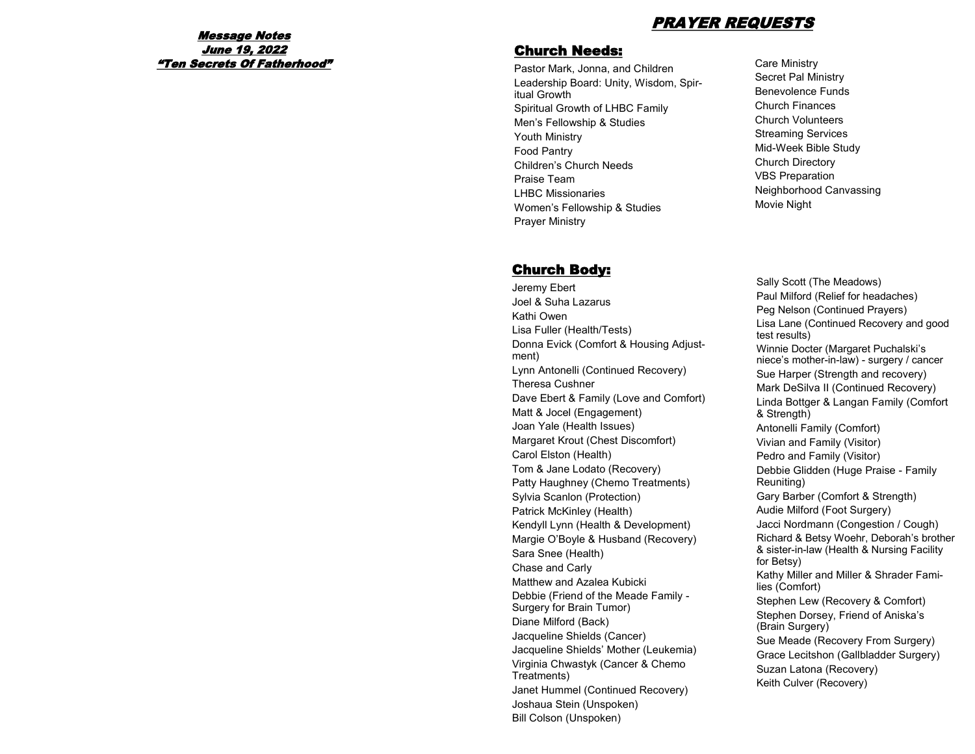## PRAYER REQUESTS

### Message Notes June 19, 2022 "Ten Secrets Of Fatherhood"

### Church Needs:

Pastor Mark, Jonna, and Children Leadership Board: Unity, Wisdom, Spiritual Growth Spiritual Growth of LHBC Family Men's Fellowship & Studies Youth Ministry Food Pantry Children's Church Needs Praise Team LHBC Missionaries Women's Fellowship & Studies Prayer Ministry

# Church Body:

Jeremy Ebert Joel & Suha Lazarus Kathi Owen Lisa Fuller (Health/Tests) Donna Evick (Comfort & Housing Adjustment) Lynn Antonelli (Continued Recovery) Theresa Cushner Dave Ebert & Family (Love and Comfort) Matt & Jocel (Engagement) Joan Yale (Health Issues) Margaret Krout (Chest Discomfort) Carol Elston (Health) Tom & Jane Lodato (Recovery) Patty Haughney (Chemo Treatments) Sylvia Scanlon (Protection) Patrick McKinley (Health) Kendyll Lynn (Health & Development) Margie O'Boyle & Husband (Recovery) Sara Snee (Health) Chase and Carly Matthew and Azalea Kubicki Debbie (Friend of the Meade Family - Surgery for Brain Tumor) Diane Milford (Back) Jacqueline Shields (Cancer) Jacqueline Shields' Mother (Leukemia) Virginia Chwastyk (Cancer & Chemo Treatments) Janet Hummel (Continued Recovery) Joshaua Stein (Unspoken) Bill Colson (Unspoken)

Care Ministry Secret Pal Ministry Benevolence Funds Church Finances Church Volunteers Streaming Services Mid-Week Bible Study Church Directory VBS Preparation Neighborhood Canvassing Movie Night

Sally Scott (The Meadows) Paul Milford (Relief for headaches) Peg Nelson (Continued Prayers) Lisa Lane (Continued Recovery and good test results) Winnie Docter (Margaret Puchalski's niece's mother-in-law) - surgery / cancer Sue Harper (Strength and recovery) Mark DeSilva II (Continued Recovery) Linda Bottger & Langan Family (Comfort & Strength) Antonelli Family (Comfort) Vivian and Family (Visitor) Pedro and Family (Visitor) Debbie Glidden (Huge Praise - Family Reuniting) Gary Barber (Comfort & Strength) Audie Milford (Foot Surgery) Jacci Nordmann (Congestion / Cough) Richard & Betsy Woehr, Deborah's brother & sister-in-law (Health & Nursing Facility for Betsy) Kathy Miller and Miller & Shrader Families (Comfort) Stephen Lew (Recovery & Comfort) Stephen Dorsey, Friend of Aniska's (Brain Surgery) Sue Meade (Recovery From Surgery) Grace Lecitshon (Gallbladder Surgery) Suzan Latona (Recovery) Keith Culver (Recovery)